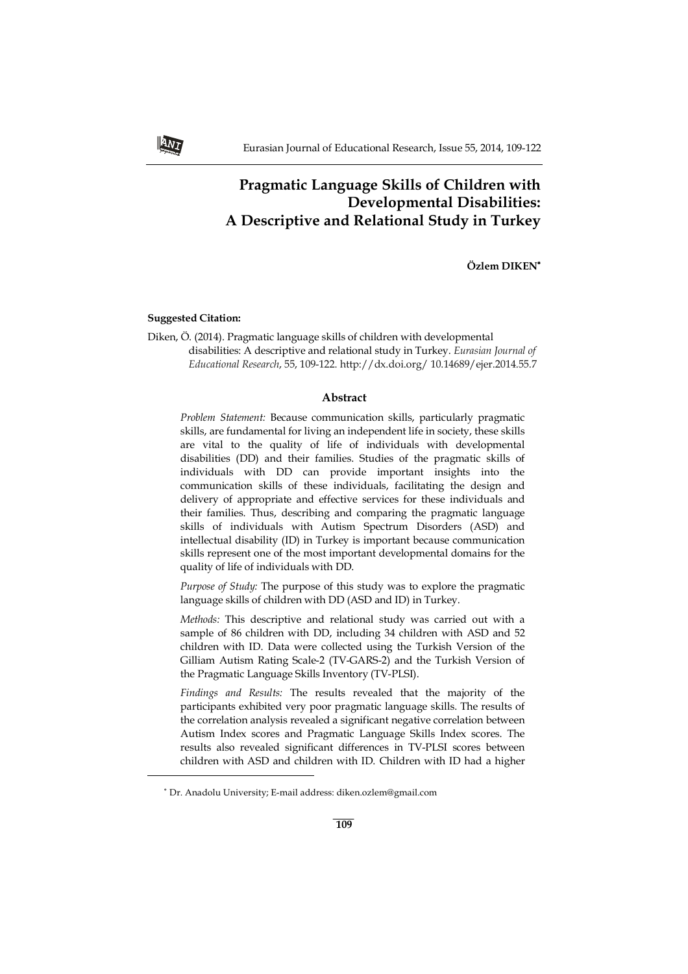# **Pragmatic Language Skills of Children with Developmental Disabilities: A Descriptive and Relational Study in Turkey**

**Özlem DIKEN**

# **Suggested Citation:**

**ANT** 

j

Diken, Ö. (2014). Pragmatic language skills of children with developmental disabilities: A descriptive and relational study in Turkey. *Eurasian Journal of Educational Research*, 55, 109-122. http://dx.doi.org/ 10.14689/ejer.2014.55.7

# **Abstract**

*Problem Statement:* Because communication skills, particularly pragmatic skills, are fundamental for living an independent life in society, these skills are vital to the quality of life of individuals with developmental disabilities (DD) and their families. Studies of the pragmatic skills of individuals with DD can provide important insights into the communication skills of these individuals, facilitating the design and delivery of appropriate and effective services for these individuals and their families. Thus, describing and comparing the pragmatic language skills of individuals with Autism Spectrum Disorders (ASD) and intellectual disability (ID) in Turkey is important because communication skills represent one of the most important developmental domains for the quality of life of individuals with DD.

*Purpose of Study:* The purpose of this study was to explore the pragmatic language skills of children with DD (ASD and ID) in Turkey.

*Methods:* This descriptive and relational study was carried out with a sample of 86 children with DD, including 34 children with ASD and 52 children with ID. Data were collected using the Turkish Version of the Gilliam Autism Rating Scale-2 (TV-GARS-2) and the Turkish Version of the Pragmatic Language Skills Inventory (TV-PLSI).

*Findings and Results:* The results revealed that the majority of the participants exhibited very poor pragmatic language skills. The results of the correlation analysis revealed a significant negative correlation between Autism Index scores and Pragmatic Language Skills Index scores. The results also revealed significant differences in TV-PLSI scores between children with ASD and children with ID. Children with ID had a higher

Dr. Anadolu University; E-mail address: diken.ozlem@gmail.com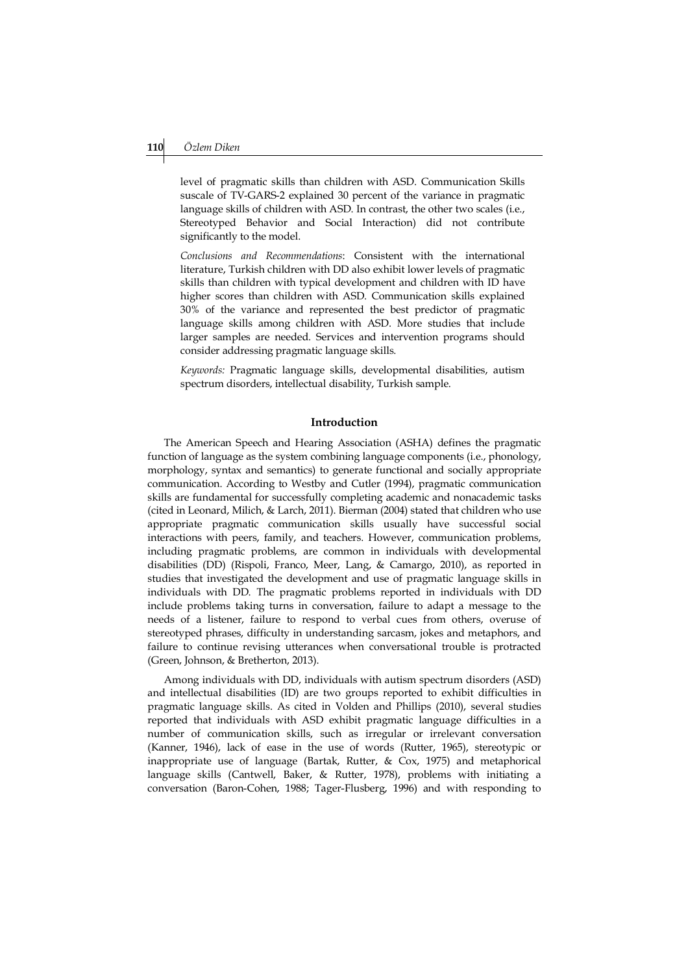level of pragmatic skills than children with ASD. Communication Skills suscale of TV-GARS-2 explained 30 percent of the variance in pragmatic language skills of children with ASD. In contrast, the other two scales (i.e., Stereotyped Behavior and Social Interaction) did not contribute significantly to the model.

*Conclusions and Recommendations*: Consistent with the international literature, Turkish children with DD also exhibit lower levels of pragmatic skills than children with typical development and children with ID have higher scores than children with ASD. Communication skills explained 30% of the variance and represented the best predictor of pragmatic language skills among children with ASD. More studies that include larger samples are needed. Services and intervention programs should consider addressing pragmatic language skills.

*Keywords:* Pragmatic language skills, developmental disabilities, autism spectrum disorders, intellectual disability, Turkish sample.

# **Introduction**

The American Speech and Hearing Association (ASHA) defines the pragmatic function of language as the system combining language components (i.e., phonology, morphology, syntax and semantics) to generate functional and socially appropriate communication. According to Westby and Cutler (1994), pragmatic communication skills are fundamental for successfully completing academic and nonacademic tasks (cited in Leonard, Milich, & Larch, 2011). Bierman (2004) stated that children who use appropriate pragmatic communication skills usually have successful social interactions with peers, family, and teachers. However, communication problems, including pragmatic problems, are common in individuals with developmental disabilities (DD) (Rispoli, Franco, Meer, Lang, & Camargo, 2010), as reported in studies that investigated the development and use of pragmatic language skills in individuals with DD. The pragmatic problems reported in individuals with DD include problems taking turns in conversation, failure to adapt a message to the needs of a listener, failure to respond to verbal cues from others, overuse of stereotyped phrases, difficulty in understanding sarcasm, jokes and metaphors, and failure to continue revising utterances when conversational trouble is protracted (Green, Johnson, & Bretherton, 2013).

Among individuals with DD, individuals with autism spectrum disorders (ASD) and intellectual disabilities (ID) are two groups reported to exhibit difficulties in pragmatic language skills. As cited in Volden and Phillips (2010), several studies reported that individuals with ASD exhibit pragmatic language difficulties in a number of communication skills, such as irregular or irrelevant conversation (Kanner, 1946), lack of ease in the use of words (Rutter, 1965), stereotypic or inappropriate use of language (Bartak, Rutter, & Cox, 1975) and metaphorical language skills (Cantwell, Baker, & Rutter, 1978), problems with initiating a conversation (Baron-Cohen, 1988; Tager-Flusberg, 1996) and with responding to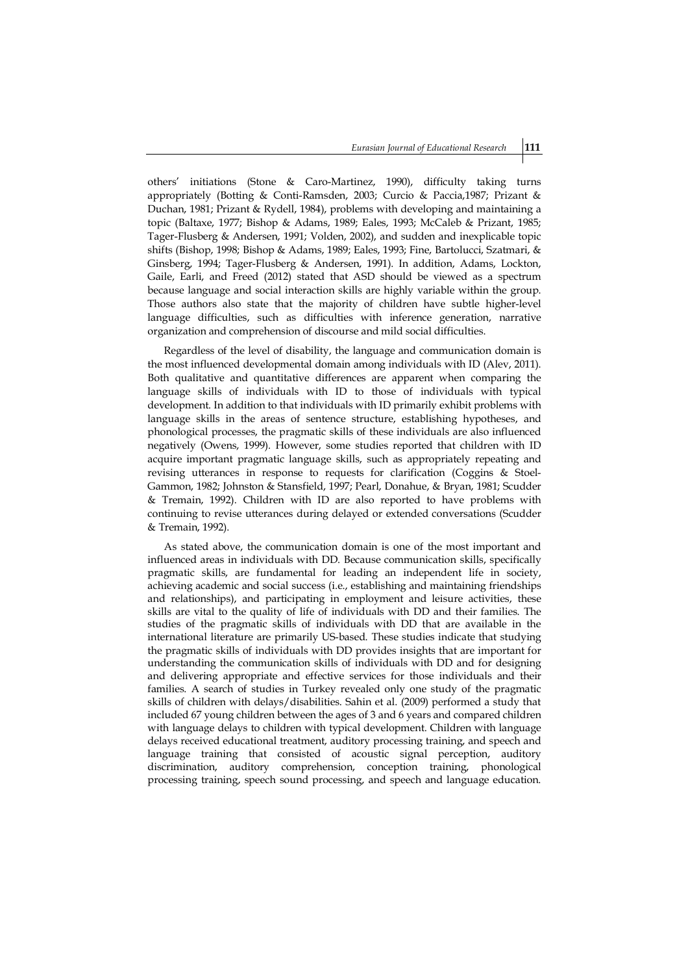others' initiations (Stone & Caro-Martinez, 1990), difficulty taking turns appropriately (Botting & Conti-Ramsden, 2003; Curcio & Paccia,1987; Prizant & Duchan, 1981; Prizant & Rydell, 1984), problems with developing and maintaining a topic (Baltaxe, 1977; Bishop & Adams, 1989; Eales, 1993; McCaleb & Prizant, 1985; Tager-Flusberg & Andersen, 1991; Volden, 2002), and sudden and inexplicable topic shifts (Bishop, 1998; Bishop & Adams, 1989; Eales, 1993; Fine, Bartolucci, Szatmari, & Ginsberg, 1994; Tager-Flusberg & Andersen, 1991). In addition, Adams, Lockton, Gaile, Earli, and Freed (2012) stated that ASD should be viewed as a spectrum because language and social interaction skills are highly variable within the group. Those authors also state that the majority of children have subtle higher-level language difficulties, such as difficulties with inference generation, narrative organization and comprehension of discourse and mild social difficulties.

Regardless of the level of disability, the language and communication domain is the most influenced developmental domain among individuals with ID (Alev, 2011). Both qualitative and quantitative differences are apparent when comparing the language skills of individuals with ID to those of individuals with typical development. In addition to that individuals with ID primarily exhibit problems with language skills in the areas of sentence structure, establishing hypotheses, and phonological processes, the pragmatic skills of these individuals are also influenced negatively (Owens, 1999). However, some studies reported that children with ID acquire important pragmatic language skills, such as appropriately repeating and revising utterances in response to requests for clarification (Coggins & Stoel-Gammon, 1982; Johnston & Stansfield, 1997; Pearl, Donahue, & Bryan, 1981; Scudder & Tremain, 1992). Children with ID are also reported to have problems with continuing to revise utterances during delayed or extended conversations (Scudder & Tremain, 1992).

As stated above, the communication domain is one of the most important and influenced areas in individuals with DD. Because communication skills, specifically pragmatic skills, are fundamental for leading an independent life in society, achieving academic and social success (i.e., establishing and maintaining friendships and relationships), and participating in employment and leisure activities, these skills are vital to the quality of life of individuals with DD and their families. The studies of the pragmatic skills of individuals with DD that are available in the international literature are primarily US-based. These studies indicate that studying the pragmatic skills of individuals with DD provides insights that are important for understanding the communication skills of individuals with DD and for designing and delivering appropriate and effective services for those individuals and their families. A search of studies in Turkey revealed only one study of the pragmatic skills of children with delays/disabilities. Sahin et al. (2009) performed a study that included 67 young children between the ages of 3 and 6 years and compared children with language delays to children with typical development. Children with language delays received educational treatment, auditory processing training, and speech and language training that consisted of acoustic signal perception, auditory discrimination, auditory comprehension, conception training, phonological processing training, speech sound processing, and speech and language education.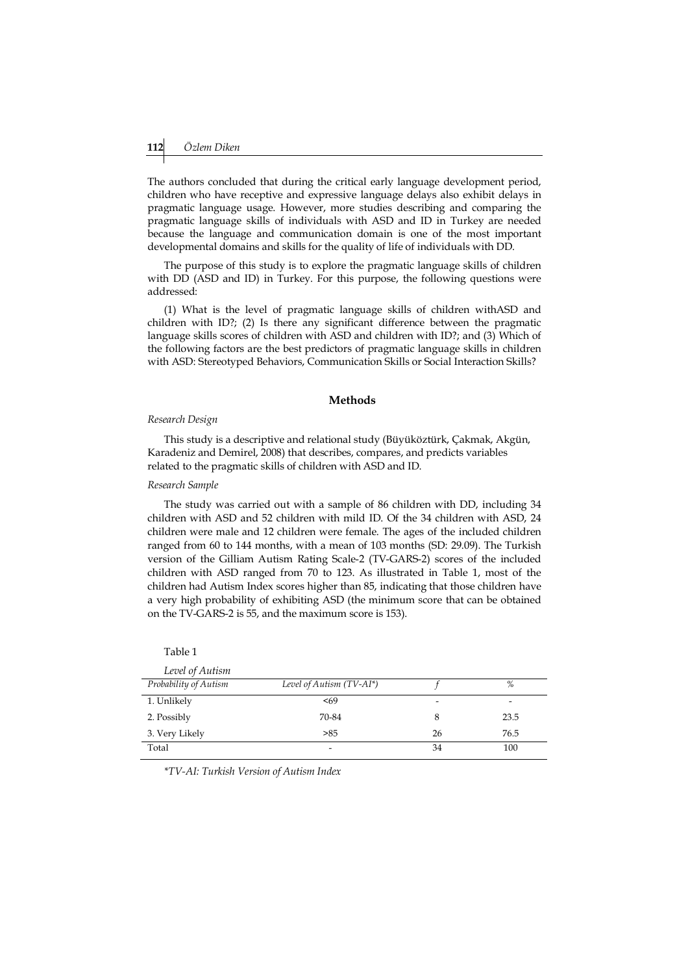The authors concluded that during the critical early language development period, children who have receptive and expressive language delays also exhibit delays in pragmatic language usage. However, more studies describing and comparing the pragmatic language skills of individuals with ASD and ID in Turkey are needed because the language and communication domain is one of the most important developmental domains and skills for the quality of life of individuals with DD.

The purpose of this study is to explore the pragmatic language skills of children with DD (ASD and ID) in Turkey. For this purpose, the following questions were addressed:

(1) What is the level of pragmatic language skills of children withASD and children with ID?; (2) Is there any significant difference between the pragmatic language skills scores of children with ASD and children with ID?; and (3) Which of the following factors are the best predictors of pragmatic language skills in children with ASD: Stereotyped Behaviors, Communication Skills or Social Interaction Skills?

## **Methods**

#### *Research Design*

This study is a descriptive and relational study (Büyüköztürk, Çakmak, Akgün, Karadeniz and Demirel, 2008) that describes, compares, and predicts variables related to the pragmatic skills of children with ASD and ID.

#### *Research Sample*

Table 1

The study was carried out with a sample of 86 children with DD, including 34 children with ASD and 52 children with mild ID. Of the 34 children with ASD, 24 children were male and 12 children were female. The ages of the included children ranged from 60 to 144 months, with a mean of 103 months (SD: 29.09). The Turkish version of the Gilliam Autism Rating Scale-2 (TV-GARS-2) scores of the included children with ASD ranged from 70 to 123. As illustrated in Table 1, most of the children had Autism Index scores higher than 85, indicating that those children have a very high probability of exhibiting ASD (the minimum score that can be obtained on the TV-GARS-2 is 55, and the maximum score is 153).

| Level of Autism       |                          |    |      |
|-----------------------|--------------------------|----|------|
| Probability of Autism | Level of Autism (TV-AI*) |    | %    |
| 1. Unlikely           | < 69                     | -  |      |
| 2. Possibly           | 70-84                    | 8  | 23.5 |
| 3. Very Likely        | >85                      | 26 | 76.5 |
| Total                 | -                        | 34 | 100  |

*\*TV-AI: Turkish Version of Autism Index*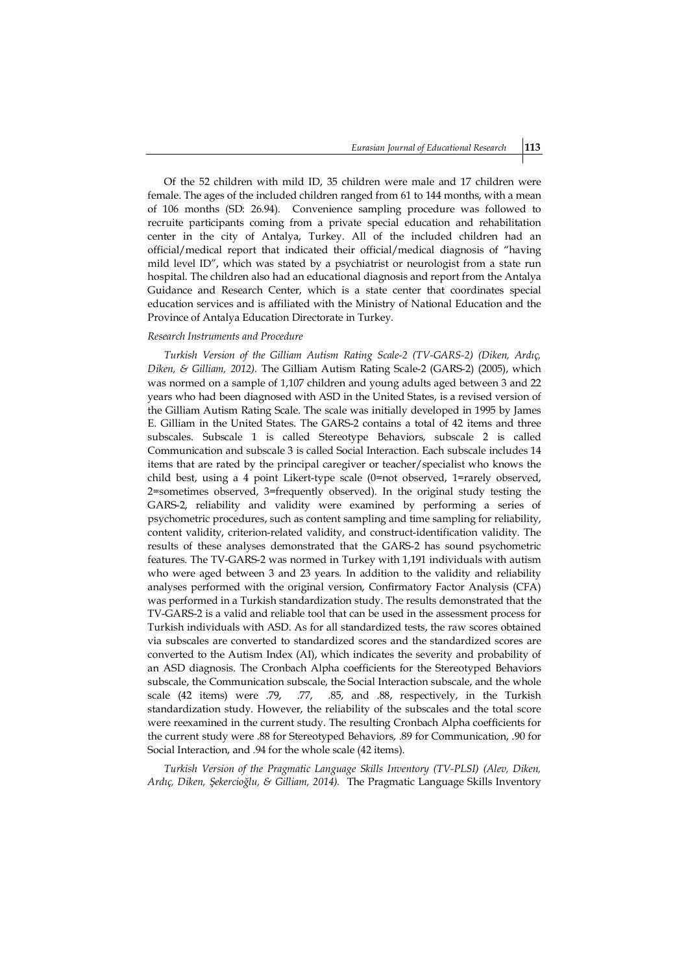Of the 52 children with mild ID, 35 children were male and 17 children were female. The ages of the included children ranged from 61 to 144 months, with a mean of 106 months (SD: 26.94). Convenience sampling procedure was followed to recruite participants coming from a private special education and rehabilitation center in the city of Antalya, Turkey. All of the included children had an official/medical report that indicated their official/medical diagnosis of "having mild level ID", which was stated by a psychiatrist or neurologist from a state run hospital. The children also had an educational diagnosis and report from the Antalya Guidance and Research Center, which is a state center that coordinates special education services and is affiliated with the Ministry of National Education and the Province of Antalya Education Directorate in Turkey.

#### *Research Instruments and Procedure*

*Turkish Version of the Gilliam Autism Rating Scale-2 (TV-GARS-2) (Diken, Ardıç, Diken, & Gilliam, 2012).* The Gilliam Autism Rating Scale-2 (GARS-2) (2005), which was normed on a sample of 1,107 children and young adults aged between 3 and 22 years who had been diagnosed with ASD in the United States, is a revised version of the Gilliam Autism Rating Scale. The scale was initially developed in 1995 by James E. Gilliam in the United States. The GARS-2 contains a total of 42 items and three subscales. Subscale 1 is called Stereotype Behaviors, subscale 2 is called Communication and subscale 3 is called Social Interaction. Each subscale includes 14 items that are rated by the principal caregiver or teacher/specialist who knows the child best, using a 4 point Likert-type scale (0=not observed, 1=rarely observed, 2=sometimes observed, 3=frequently observed). In the original study testing the GARS-2, reliability and validity were examined by performing a series of psychometric procedures, such as content sampling and time sampling for reliability, content validity, criterion-related validity, and construct-identification validity. The results of these analyses demonstrated that the GARS-2 has sound psychometric features. The TV-GARS-2 was normed in Turkey with 1,191 individuals with autism who were aged between 3 and 23 years. In addition to the validity and reliability analyses performed with the original version, Confirmatory Factor Analysis (CFA) was performed in a Turkish standardization study. The results demonstrated that the TV-GARS-2 is a valid and reliable tool that can be used in the assessment process for Turkish individuals with ASD. As for all standardized tests, the raw scores obtained via subscales are converted to standardized scores and the standardized scores are converted to the Autism Index (AI), which indicates the severity and probability of an ASD diagnosis. The Cronbach Alpha coefficients for the Stereotyped Behaviors subscale, the Communication subscale, the Social Interaction subscale, and the whole scale (42 items) were .79, .77, .85, and .88, respectively, in the Turkish standardization study. However, the reliability of the subscales and the total score were reexamined in the current study. The resulting Cronbach Alpha coefficients for the current study were .88 for Stereotyped Behaviors, .89 for Communication, .90 for Social Interaction, and .94 for the whole scale (42 items).

*Turkish Version of the Pragmatic Language Skills Inventory (TV-PLSI) (Alev, Diken, Ardıç, Diken, Şekercioğlu, & Gilliam, 2014).* The Pragmatic Language Skills Inventory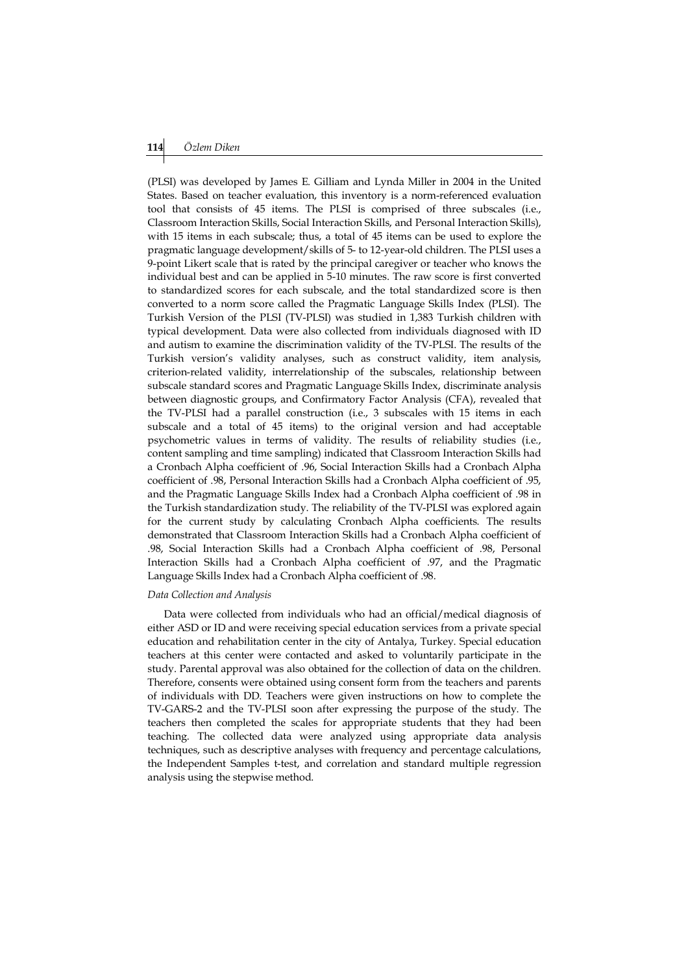## **114** *Özlem Diken*

(PLSI) was developed by James E. Gilliam and Lynda Miller in 2004 in the United States. Based on teacher evaluation, this inventory is a norm-referenced evaluation tool that consists of 45 items. The PLSI is comprised of three subscales (i.e., Classroom Interaction Skills, Social Interaction Skills, and Personal Interaction Skills), with 15 items in each subscale; thus, a total of 45 items can be used to explore the pragmatic language development/skills of 5- to 12-year-old children. The PLSI uses a 9-point Likert scale that is rated by the principal caregiver or teacher who knows the individual best and can be applied in 5-10 minutes. The raw score is first converted to standardized scores for each subscale, and the total standardized score is then converted to a norm score called the Pragmatic Language Skills Index (PLSI). The Turkish Version of the PLSI (TV-PLSI) was studied in 1,383 Turkish children with typical development. Data were also collected from individuals diagnosed with ID and autism to examine the discrimination validity of the TV-PLSI. The results of the Turkish version's validity analyses, such as construct validity, item analysis, criterion-related validity, interrelationship of the subscales, relationship between subscale standard scores and Pragmatic Language Skills Index, discriminate analysis between diagnostic groups, and Confirmatory Factor Analysis (CFA), revealed that the TV-PLSI had a parallel construction (i.e., 3 subscales with 15 items in each subscale and a total of 45 items) to the original version and had acceptable psychometric values in terms of validity. The results of reliability studies (i.e., content sampling and time sampling) indicated that Classroom Interaction Skills had a Cronbach Alpha coefficient of .96, Social Interaction Skills had a Cronbach Alpha coefficient of .98, Personal Interaction Skills had a Cronbach Alpha coefficient of .95, and the Pragmatic Language Skills Index had a Cronbach Alpha coefficient of .98 in the Turkish standardization study. The reliability of the TV-PLSI was explored again for the current study by calculating Cronbach Alpha coefficients. The results demonstrated that Classroom Interaction Skills had a Cronbach Alpha coefficient of .98, Social Interaction Skills had a Cronbach Alpha coefficient of .98, Personal Interaction Skills had a Cronbach Alpha coefficient of .97, and the Pragmatic Language Skills Index had a Cronbach Alpha coefficient of .98.

#### *Data Collection and Analysis*

Data were collected from individuals who had an official/medical diagnosis of either ASD or ID and were receiving special education services from a private special education and rehabilitation center in the city of Antalya, Turkey. Special education teachers at this center were contacted and asked to voluntarily participate in the study. Parental approval was also obtained for the collection of data on the children. Therefore, consents were obtained using consent form from the teachers and parents of individuals with DD. Teachers were given instructions on how to complete the TV-GARS-2 and the TV-PLSI soon after expressing the purpose of the study. The teachers then completed the scales for appropriate students that they had been teaching. The collected data were analyzed using appropriate data analysis techniques, such as descriptive analyses with frequency and percentage calculations, the Independent Samples t-test, and correlation and standard multiple regression analysis using the stepwise method.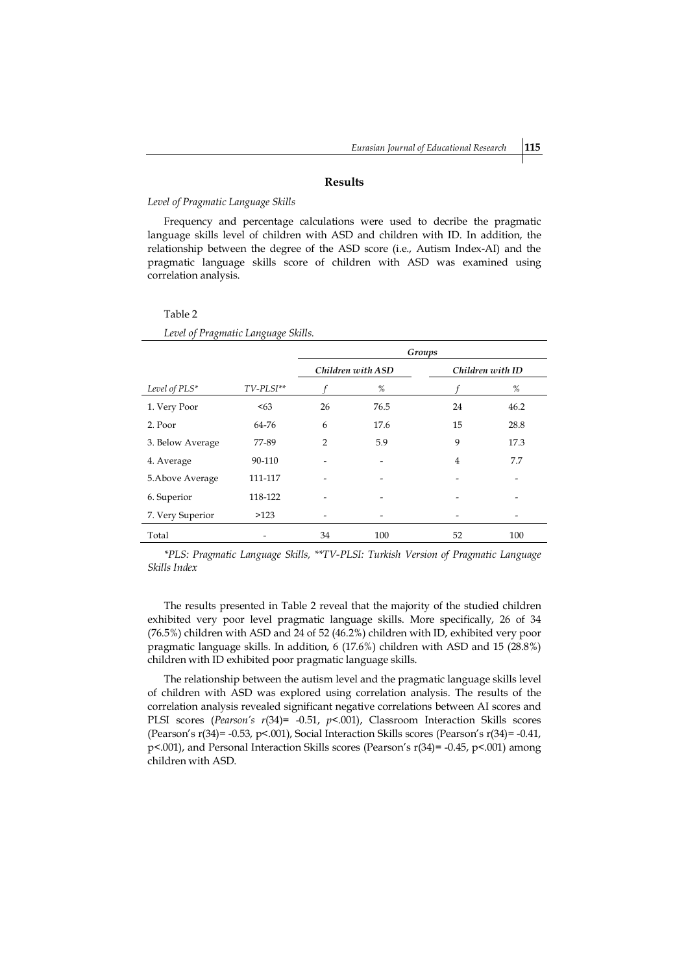#### **Results**

#### *Level of Pragmatic Language Skills*

Frequency and percentage calculations were used to decribe the pragmatic language skills level of children with ASD and children with ID. In addition, the relationship between the degree of the ASD score (i.e., Autism Index-AI) and the pragmatic language skills score of children with ASD was examined using correlation analysis.

| Level of Prugmatic Language Skius. |                    |                   |      |                |                  |  |
|------------------------------------|--------------------|-------------------|------|----------------|------------------|--|
|                                    |                    | Groups            |      |                |                  |  |
|                                    |                    | Children with ASD |      |                | Children with ID |  |
| Level of PLS*                      | $TV$ - $PLSI^{**}$ |                   | %    |                | %                |  |
| 1. Very Poor                       | < 63               | 26                | 76.5 | 24             | 46.2             |  |
| 2. Poor                            | 64-76              | 6                 | 17.6 | 15             | 28.8             |  |
| 3. Below Average                   | 77-89              | 2                 | 5.9  | 9              | 17.3             |  |
| 4. Average                         | 90-110             |                   | -    | $\overline{4}$ | 7.7              |  |
| 5. Above Average                   | 111-117            |                   |      |                |                  |  |
| 6. Superior                        | 118-122            |                   |      |                |                  |  |
| 7. Very Superior                   | >123               |                   |      |                |                  |  |
| Total                              |                    | 34                | 100  | 52             | 100              |  |

Table 2 *Level of Pragmatic Language Skills.* 

*\*PLS: Pragmatic Language Skills, \*\*TV-PLSI: Turkish Version of Pragmatic Language Skills Index*

The results presented in Table 2 reveal that the majority of the studied children exhibited very poor level pragmatic language skills. More specifically, 26 of 34 (76.5%) children with ASD and 24 of 52 (46.2%) children with ID, exhibited very poor pragmatic language skills. In addition, 6 (17.6%) children with ASD and 15 (28.8%) children with ID exhibited poor pragmatic language skills.

The relationship between the autism level and the pragmatic language skills level of children with ASD was explored using correlation analysis. The results of the correlation analysis revealed significant negative correlations between AI scores and PLSI scores (*Pearson's r*(34)= -0.51, *p*<.001), Classroom Interaction Skills scores (Pearson's r(34)= -0.53, p<.001), Social Interaction Skills scores (Pearson's r(34)= -0.41, p<.001), and Personal Interaction Skills scores (Pearson's r(34)= -0.45, p<.001) among children with ASD.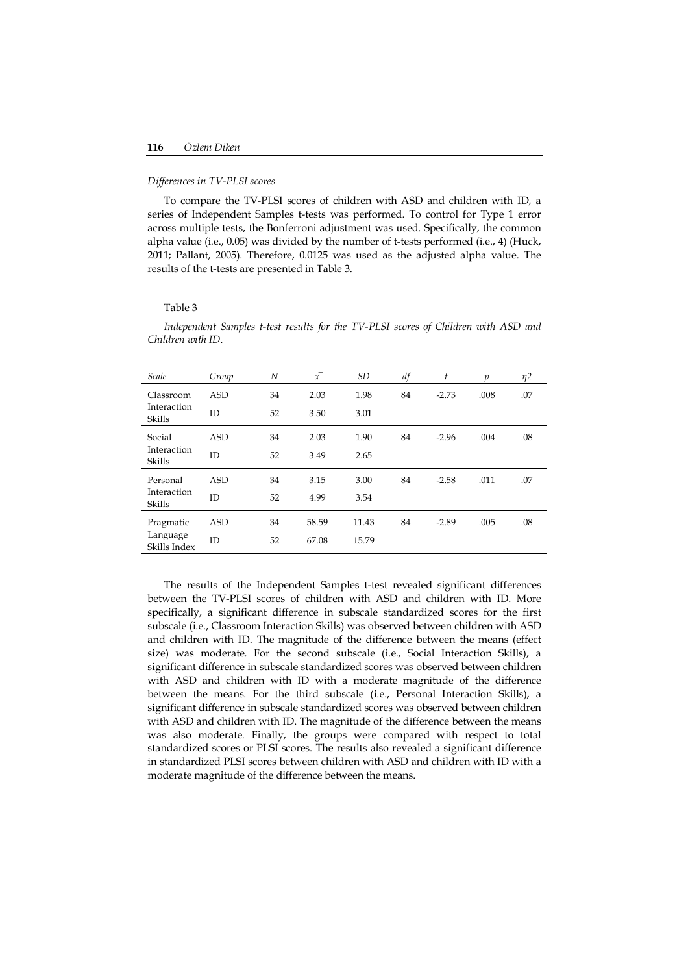#### *Differences in TV-PLSI scores*

To compare the TV-PLSI scores of children with ASD and children with ID, a series of Independent Samples t-tests was performed. To control for Type 1 error across multiple tests, the Bonferroni adjustment was used. Specifically, the common alpha value (i.e., 0.05) was divided by the number of t-tests performed (i.e., 4) (Huck, 2011; Pallant, 2005). Therefore, 0.0125 was used as the adjusted alpha value. The results of the t-tests are presented in Table 3.

#### Table 3

*Independent Samples t-test results for the TV-PLSI scores of Children with ASD and Children with ID.*

| Scale                                 | Group      | N  | $\bar{x}$ | <i>SD</i> | df | t       | $\mathfrak{p}$ | $\eta$ 2 |
|---------------------------------------|------------|----|-----------|-----------|----|---------|----------------|----------|
| Classroom                             | <b>ASD</b> | 34 | 2.03      | 1.98      | 84 | $-2.73$ | .008           | .07      |
| Interaction<br>Skills                 | ID         | 52 | 3.50      | 3.01      |    |         |                |          |
| Social                                | <b>ASD</b> | 34 | 2.03      | 1.90      | 84 | $-2.96$ | .004           | .08      |
| Interaction<br>Skills                 | ID         | 52 | 3.49      | 2.65      |    |         |                |          |
| Personal                              | <b>ASD</b> | 34 | 3.15      | 3.00      | 84 | $-2.58$ | .011           | .07      |
| Interaction<br>Skills                 | ID         | 52 | 4.99      | 3.54      |    |         |                |          |
| Pragmatic<br>Language<br>Skills Index | <b>ASD</b> | 34 | 58.59     | 11.43     | 84 | $-2.89$ | .005           | .08      |
|                                       | ID         | 52 | 67.08     | 15.79     |    |         |                |          |

The results of the Independent Samples t-test revealed significant differences between the TV-PLSI scores of children with ASD and children with ID. More specifically, a significant difference in subscale standardized scores for the first subscale (i.e., Classroom Interaction Skills) was observed between children with ASD and children with ID. The magnitude of the difference between the means (effect size) was moderate. For the second subscale (i.e., Social Interaction Skills), a significant difference in subscale standardized scores was observed between children with ASD and children with ID with a moderate magnitude of the difference between the means. For the third subscale (i.e., Personal Interaction Skills), a significant difference in subscale standardized scores was observed between children with ASD and children with ID. The magnitude of the difference between the means was also moderate. Finally, the groups were compared with respect to total standardized scores or PLSI scores. The results also revealed a significant difference in standardized PLSI scores between children with ASD and children with ID with a moderate magnitude of the difference between the means.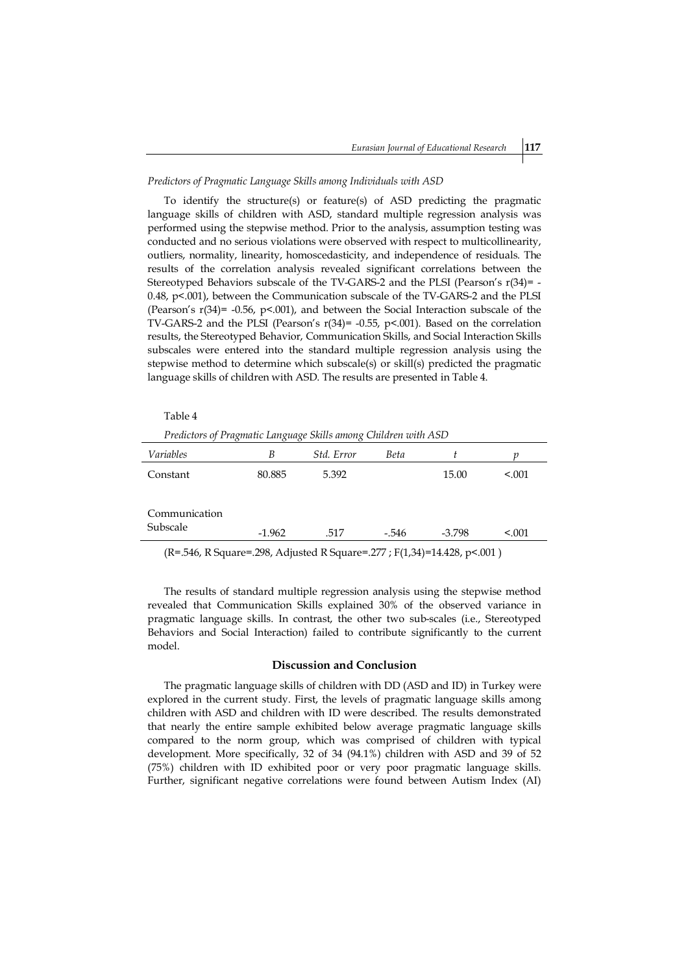#### *Predictors of Pragmatic Language Skills among Individuals with ASD*

To identify the structure(s) or feature(s) of ASD predicting the pragmatic language skills of children with ASD, standard multiple regression analysis was performed using the stepwise method. Prior to the analysis, assumption testing was conducted and no serious violations were observed with respect to multicollinearity, outliers, normality, linearity, homoscedasticity, and independence of residuals. The results of the correlation analysis revealed significant correlations between the Stereotyped Behaviors subscale of the TV-GARS-2 and the PLSI (Pearson's r(34)= - 0.48, p<.001), between the Communication subscale of the TV-GARS-2 and the PLSI (Pearson's r(34)= -0.56, p<.001), and between the Social Interaction subscale of the TV-GARS-2 and the PLSI (Pearson's r(34)= -0.55, p<.001). Based on the correlation results, the Stereotyped Behavior, Communication Skills, and Social Interaction Skills subscales were entered into the standard multiple regression analysis using the stepwise method to determine which subscale(s) or skill(s) predicted the pragmatic language skills of children with ASD. The results are presented in Table 4.

| Table 4                                                         |          |            |             |          |         |  |  |
|-----------------------------------------------------------------|----------|------------|-------------|----------|---------|--|--|
| Predictors of Pragmatic Language Skills among Children with ASD |          |            |             |          |         |  |  |
| Variables                                                       | B        | Std. Error | <b>Beta</b> |          |         |  |  |
| Constant                                                        | 80.885   | 5.392      |             | 15.00    | < 0.001 |  |  |
| Communication<br>Subscale                                       | $-1.962$ | .517       | -.546       | $-3.798$ | < 0.001 |  |  |
|                                                                 |          |            |             |          |         |  |  |

(R=.546, R Square=.298, Adjusted R Square=.277 ; F(1,34)=14.428, p<.001 )

The results of standard multiple regression analysis using the stepwise method revealed that Communication Skills explained 30% of the observed variance in pragmatic language skills. In contrast, the other two sub-scales (i.e., Stereotyped Behaviors and Social Interaction) failed to contribute significantly to the current model.

## **Discussion and Conclusion**

The pragmatic language skills of children with DD (ASD and ID) in Turkey were explored in the current study. First, the levels of pragmatic language skills among children with ASD and children with ID were described. The results demonstrated that nearly the entire sample exhibited below average pragmatic language skills compared to the norm group, which was comprised of children with typical development. More specifically, 32 of 34 (94.1%) children with ASD and 39 of 52 (75%) children with ID exhibited poor or very poor pragmatic language skills. Further, significant negative correlations were found between Autism Index (AI)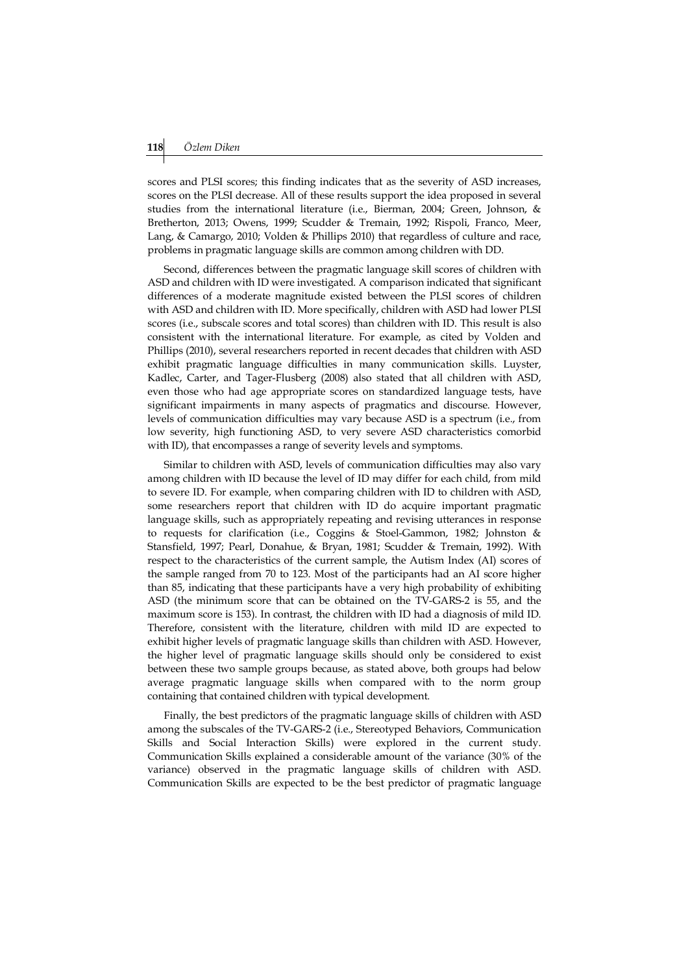scores and PLSI scores; this finding indicates that as the severity of ASD increases, scores on the PLSI decrease. All of these results support the idea proposed in several studies from the international literature (i.e., Bierman, 2004; Green, Johnson, & Bretherton, 2013; Owens, 1999; Scudder & Tremain, 1992; Rispoli, Franco, Meer, Lang, & Camargo, 2010; Volden & Phillips 2010) that regardless of culture and race, problems in pragmatic language skills are common among children with DD.

Second, differences between the pragmatic language skill scores of children with ASD and children with ID were investigated. A comparison indicated that significant differences of a moderate magnitude existed between the PLSI scores of children with ASD and children with ID. More specifically, children with ASD had lower PLSI scores (i.e., subscale scores and total scores) than children with ID. This result is also consistent with the international literature. For example, as cited by Volden and Phillips (2010), several researchers reported in recent decades that children with ASD exhibit pragmatic language difficulties in many communication skills. Luyster, Kadlec, Carter, and Tager-Flusberg (2008) also stated that all children with ASD, even those who had age appropriate scores on standardized language tests, have significant impairments in many aspects of pragmatics and discourse. However, levels of communication difficulties may vary because ASD is a spectrum (i.e., from low severity, high functioning ASD, to very severe ASD characteristics comorbid with ID), that encompasses a range of severity levels and symptoms.

Similar to children with ASD, levels of communication difficulties may also vary among children with ID because the level of ID may differ for each child, from mild to severe ID. For example, when comparing children with ID to children with ASD, some researchers report that children with ID do acquire important pragmatic language skills, such as appropriately repeating and revising utterances in response to requests for clarification (i.e., Coggins & Stoel-Gammon, 1982; Johnston & Stansfield, 1997; Pearl, Donahue, & Bryan, 1981; Scudder & Tremain, 1992). With respect to the characteristics of the current sample, the Autism Index (AI) scores of the sample ranged from 70 to 123. Most of the participants had an AI score higher than 85, indicating that these participants have a very high probability of exhibiting ASD (the minimum score that can be obtained on the TV-GARS-2 is 55, and the maximum score is 153). In contrast, the children with ID had a diagnosis of mild ID. Therefore, consistent with the literature, children with mild ID are expected to exhibit higher levels of pragmatic language skills than children with ASD. However, the higher level of pragmatic language skills should only be considered to exist between these two sample groups because, as stated above, both groups had below average pragmatic language skills when compared with to the norm group containing that contained children with typical development.

Finally, the best predictors of the pragmatic language skills of children with ASD among the subscales of the TV-GARS-2 (i.e., Stereotyped Behaviors, Communication Skills and Social Interaction Skills) were explored in the current study. Communication Skills explained a considerable amount of the variance (30% of the variance) observed in the pragmatic language skills of children with ASD. Communication Skills are expected to be the best predictor of pragmatic language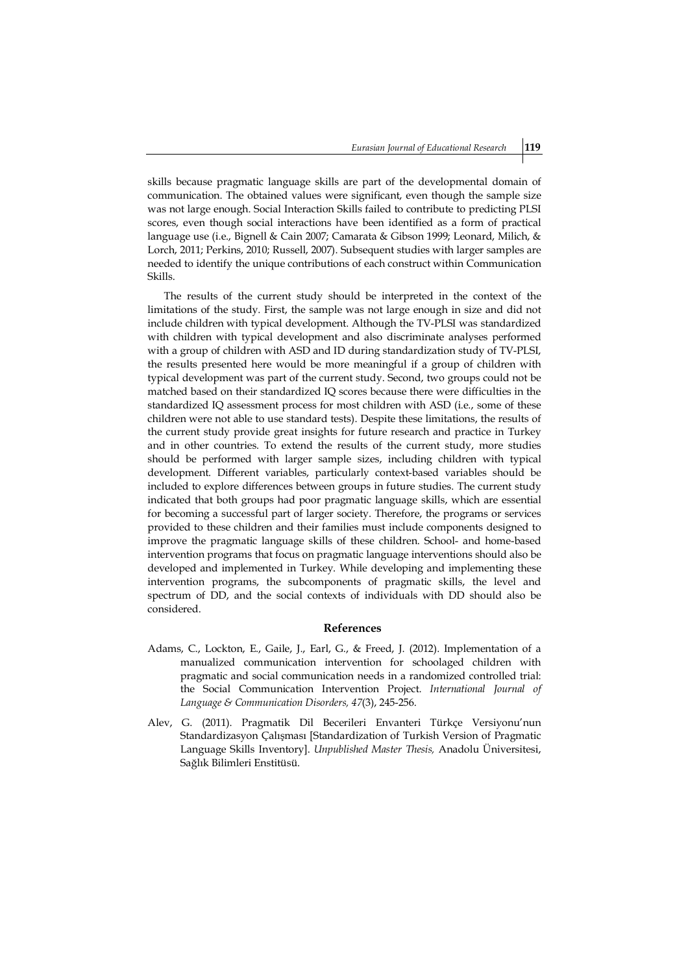skills because pragmatic language skills are part of the developmental domain of communication. The obtained values were significant, even though the sample size was not large enough. Social Interaction Skills failed to contribute to predicting PLSI scores, even though social interactions have been identified as a form of practical language use (i.e., Bignell & Cain 2007; Camarata & Gibson 1999; Leonard, Milich, & Lorch, 2011; Perkins, 2010; Russell, 2007). Subsequent studies with larger samples are needed to identify the unique contributions of each construct within Communication Skills.

The results of the current study should be interpreted in the context of the limitations of the study. First, the sample was not large enough in size and did not include children with typical development. Although the TV-PLSI was standardized with children with typical development and also discriminate analyses performed with a group of children with ASD and ID during standardization study of TV-PLSI, the results presented here would be more meaningful if a group of children with typical development was part of the current study. Second, two groups could not be matched based on their standardized IQ scores because there were difficulties in the standardized IQ assessment process for most children with ASD (i.e., some of these children were not able to use standard tests). Despite these limitations, the results of the current study provide great insights for future research and practice in Turkey and in other countries. To extend the results of the current study, more studies should be performed with larger sample sizes, including children with typical development. Different variables, particularly context-based variables should be included to explore differences between groups in future studies. The current study indicated that both groups had poor pragmatic language skills, which are essential for becoming a successful part of larger society. Therefore, the programs or services provided to these children and their families must include components designed to improve the pragmatic language skills of these children. School- and home-based intervention programs that focus on pragmatic language interventions should also be developed and implemented in Turkey. While developing and implementing these intervention programs, the subcomponents of pragmatic skills, the level and spectrum of DD, and the social contexts of individuals with DD should also be considered.

#### **References**

- Adams, C., Lockton, E., Gaile, J., Earl, G., & Freed, J. (2012). Implementation of a manualized communication intervention for schoolaged children with pragmatic and social communication needs in a randomized controlled trial: the Social Communication Intervention Project. *International Journal of Language & Communication Disorders, 47*(3), 245-256.
- Alev, G. (2011). Pragmatik Dil Becerileri Envanteri Türkçe Versiyonu'nun Standardizasyon Çalışması [Standardization of Turkish Version of Pragmatic Language Skills Inventory]. *Unpublished Master Thesis,* Anadolu Üniversitesi, Sağlık Bilimleri Enstitüsü.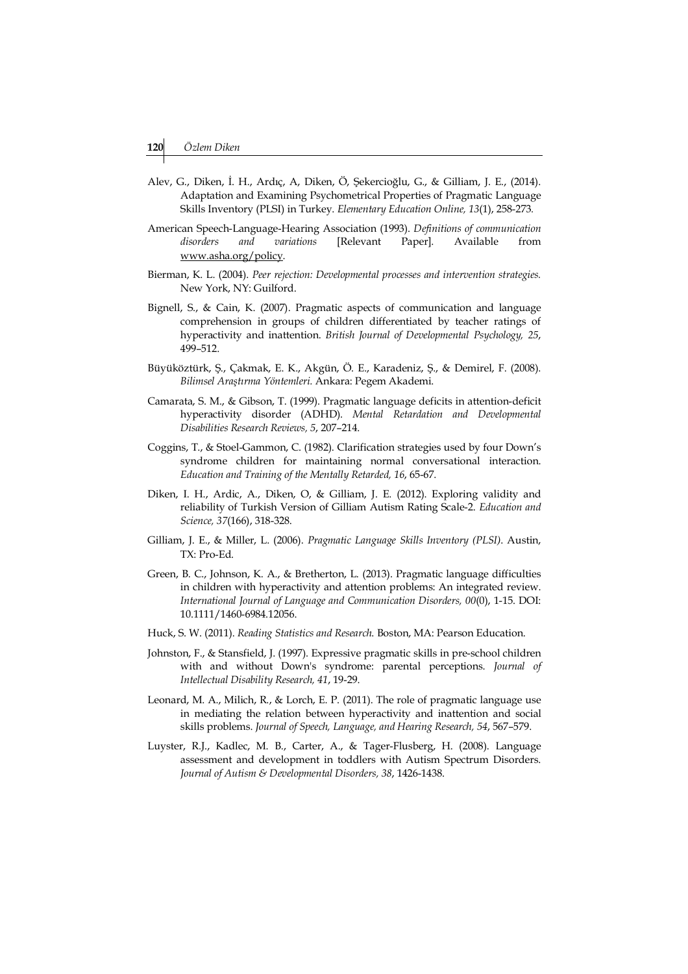- Alev, G., Diken, İ. H., Ardıç, A, Diken, Ö, Şekercioğlu, G., & Gilliam, J. E., (2014). Adaptation and Examining Psychometrical Properties of Pragmatic Language Skills Inventory (PLSI) in Turkey. *Elementary Education Online, 13*(1), 258-273*.*
- American Speech-Language-Hearing Association (1993). *Definitions of communication disorders and variations* [Relevant Paper]. Available from www.asha.org/policy.
- Bierman, K. L. (2004). *Peer rejection: Developmental processes and intervention strategies.*  New York, NY: Guilford.
- Bignell, S., & Cain, K. (2007). Pragmatic aspects of communication and language comprehension in groups of children differentiated by teacher ratings of hyperactivity and inattention. *British Journal of Developmental Psychology, 25*, 499–512.
- Büyüköztürk, Ş., Çakmak, E. K., Akgün, Ö. E., Karadeniz, Ş., & Demirel, F. (2008). *Bilimsel Araştırma Yöntemleri.* Ankara: Pegem Akademi.
- Camarata, S. M., & Gibson, T. (1999). Pragmatic language deficits in attention-deficit hyperactivity disorder (ADHD). *Mental Retardation and Developmental Disabilities Research Reviews, 5*, 207–214.
- Coggins, T., & Stoel-Gammon, C. (1982). Clarification strategies used by four Down's syndrome children for maintaining normal conversational interaction. *Education and Training of the Mentally Retarded, 16*, 65-67.
- Diken, I. H., Ardic, A., Diken, O, & Gilliam, J. E. (2012). Exploring validity and reliability of Turkish Version of Gilliam Autism Rating Scale-2. *Education and Science, 37*(166), 318-328.
- Gilliam, J. E., & Miller, L. (2006). *Pragmatic Language Skills Inventory (PLSI)*. Austin, TX: Pro-Ed.
- Green, B. C., Johnson, K. A., & Bretherton, L. (2013). Pragmatic language difficulties in children with hyperactivity and attention problems: An integrated review. *International Journal of Language and Communication Disorders, 00*(0), 1-15. DOI: 10.1111/1460-6984.12056.
- Huck, S. W. (2011). *Reading Statistics and Research*. Boston, MA: Pearson Education.
- Johnston, F., & Stansfield, J. (1997). Expressive pragmatic skills in pre-school children with and without Down's syndrome: parental perceptions. *Journal of Intellectual Disability Research, 41*, 19-29.
- Leonard, M. A., Milich, R., & Lorch, E. P. (2011). The role of pragmatic language use in mediating the relation between hyperactivity and inattention and social skills problems. *Journal of Speech, Language, and Hearing Research, 54*, 567–579.
- Luyster, R.J., Kadlec, M. B., Carter, A., & Tager-Flusberg, H. (2008). Language assessment and development in toddlers with Autism Spectrum Disorders. *Journal of Autism & Developmental Disorders, 38*, 1426-1438.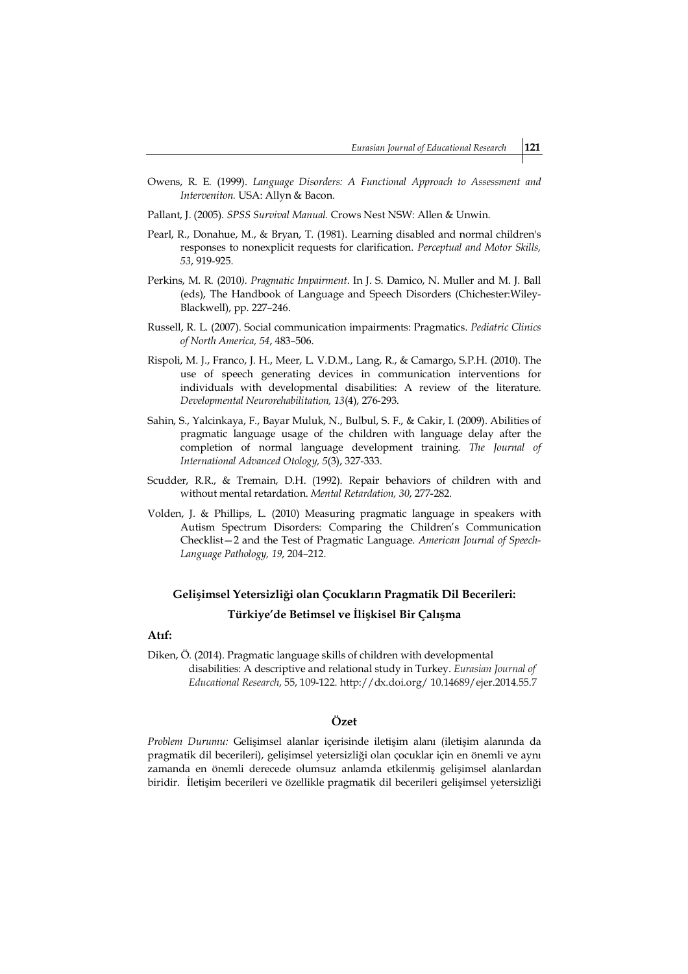- Owens, R. E. (1999). *Language Disorders: A Functional Approach to Assessment and Interveniton.* USA: Allyn & Bacon.
- Pallant, J. (2005). *SPSS Survival Manual.* Crows Nest NSW: Allen & Unwin.
- Pearl, R., Donahue, M., & Bryan, T. (1981). Learning disabled and normal children's responses to nonexplicit requests for clarification. *Perceptual and Motor Skills, 53*, 919-925.
- Perkins, M. R. (2010*). Pragmatic Impairment*. In J. S. Damico, N. Muller and M. J. Ball (eds), The Handbook of Language and Speech Disorders (Chichester:Wiley-Blackwell), pp. 227–246.
- Russell, R. L. (2007). Social communication impairments: Pragmatics. *Pediatric Clinics of North America, 54*, 483–506.
- Rispoli, M. J., Franco, J. H., Meer, L. V.D.M., Lang, R., & Camargo, S.P.H. (2010). The use of speech generating devices in communication interventions for individuals with developmental disabilities: A review of the literature. *Developmental Neurorehabilitation, 13*(4), 276-293.
- Sahin, S., Yalcinkaya, F., Bayar Muluk, N., Bulbul, S. F., & Cakir, I. (2009). Abilities of pragmatic language usage of the children with language delay after the completion of normal language development training. *The Journal of International Advanced Otology, 5*(3), 327-333.
- Scudder, R.R., & Tremain, D.H. (1992). Repair behaviors of children with and without mental retardation. *Mental Retardation, 30*, 277-282.
- Volden, J. & Phillips, L. (2010) Measuring pragmatic language in speakers with Autism Spectrum Disorders: Comparing the Children's Communication Checklist—2 and the Test of Pragmatic Language. *American Journal of Speech-Language Pathology, 19*, 204–212.

# **Gelişimsel Yetersizliği olan Çocukların Pragmatik Dil Becerileri: Türkiye'de Betimsel ve İlişkisel Bir Çalışma**

# **Atıf:**

Diken, Ö. (2014). Pragmatic language skills of children with developmental disabilities: A descriptive and relational study in Turkey. *Eurasian Journal of Educational Research*, 55, 109-122. http://dx.doi.org/ 10.14689/ejer.2014.55.7

# **Özet**

*Problem Durumu:* Gelişimsel alanlar içerisinde iletişim alanı (iletişim alanında da pragmatik dil becerileri), gelişimsel yetersizliği olan çocuklar için en önemli ve aynı zamanda en önemli derecede olumsuz anlamda etkilenmiş gelişimsel alanlardan biridir. İletişim becerileri ve özellikle pragmatik dil becerileri gelişimsel yetersizliği